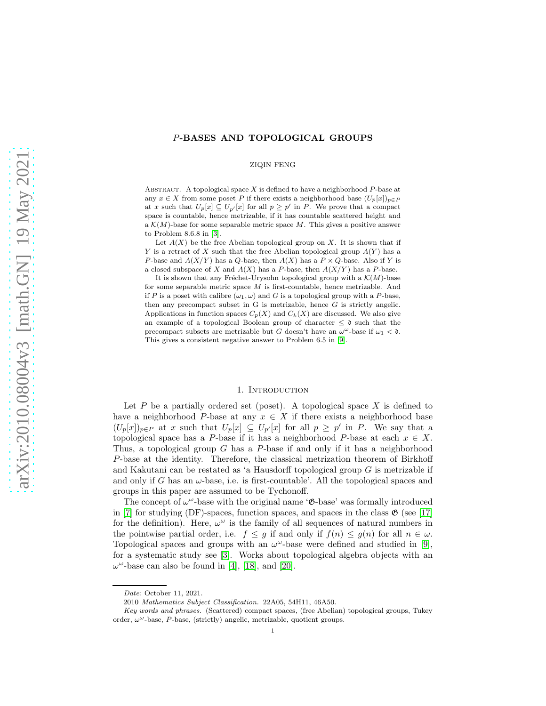# P-BASES AND TOPOLOGICAL GROUPS

### ZIQIN FENG

ABSTRACT. A topological space  $X$  is defined to have a neighborhood  $P$ -base at any  $x \in X$  from some poset P if there exists a neighborhood base  $(U_p[x])_{p \in P}$ at x such that  $U_p[x] \subseteq U_{p'}[x]$  for all  $p \geq p'$  in P. We prove that a compact space is countable, hence metrizable, if it has countable scattered height and a  $\mathcal{K}(M)$ -base for some separable metric space M. This gives a positive answer to Problem 8.6.8 in [\[3\]](#page-11-0).

Let  $A(X)$  be the free Abelian topological group on X. It is shown that if Y is a retract of X such that the free Abelian topological group  $A(Y)$  has a P-base and  $A(X/Y)$  has a Q-base, then  $A(X)$  has a  $P \times Q$ -base. Also if Y is a closed subspace of X and  $A(X)$  has a P-base, then  $A(X/Y)$  has a P-base.

It is shown that any Fréchet-Urysohn topological group with a  $\mathcal{K}(M)$ -base for some separable metric space  $M$  is first-countable, hence metrizable. And if P is a poset with calibre  $(\omega_1, \omega)$  and G is a topological group with a P-base, then any precompact subset in  $G$  is metrizable, hence  $G$  is strictly angelic. Applications in function spaces  $C_p(X)$  and  $C_k(X)$  are discussed. We also give an example of a topological Boolean group of character  $\leq \mathfrak{d}$  such that the precompact subsets are metrizable but G doesn't have an  $\omega^{\omega}$ -base if  $\omega_1 < \mathfrak{d}$ . This gives a consistent negative answer to Problem 6.5 in [\[9\]](#page-11-1).

#### 1. Introduction

Let  $P$  be a partially ordered set (poset). A topological space  $X$  is defined to have a neighborhood P-base at any  $x \in X$  if there exists a neighborhood base  $(U_p[x])_{p\in P}$  at x such that  $U_p[x] \subseteq U_{p'}[x]$  for all  $p \geq p'$  in P. We say that a topological space has a P-base if it has a neighborhood P-base at each  $x \in X$ . Thus, a topological group  $G$  has a  $P$ -base if and only if it has a neighborhood P-base at the identity. Therefore, the classical metrization theorem of Birkhoff and Kakutani can be restated as 'a Hausdorff topological group  $G$  is metrizable if and only if G has an  $\omega$ -base, i.e. is first-countable'. All the topological spaces and groups in this paper are assumed to be Tychonoff.

The concept of  $\omega^{\omega}$ -base with the original name ' $\mathfrak{G}$ -base' was formally introduced in [\[7\]](#page-11-2) for studying (DF)-spaces, function spaces, and spaces in the class  $\mathfrak{G}$  (see [\[17\]](#page-11-3) for the definition). Here,  $\omega^{\omega}$  is the family of all sequences of natural numbers in the pointwise partial order, i.e.  $f \leq g$  if and only if  $f(n) \leq g(n)$  for all  $n \in \omega$ . Topological spaces and groups with an  $\omega^{\omega}$ -base were defined and studied in [\[9\]](#page-11-1), for a systematic study see [\[3\]](#page-11-0). Works about topological algebra objects with an  $\omega^{\omega}$ -base can also be found in [\[4\]](#page-11-4), [\[18\]](#page-11-5), and [\[20\]](#page-11-6).

Date: October 11, 2021.

<sup>2010</sup> Mathematics Subject Classification. 22A05, 54H11, 46A50.

Key words and phrases. (Scattered) compact spaces, (free Abelian) topological groups, Tukey order,  $\omega^{\omega}$ -base,  $P$ -base, (strictly) angelic, metrizable, quotient groups.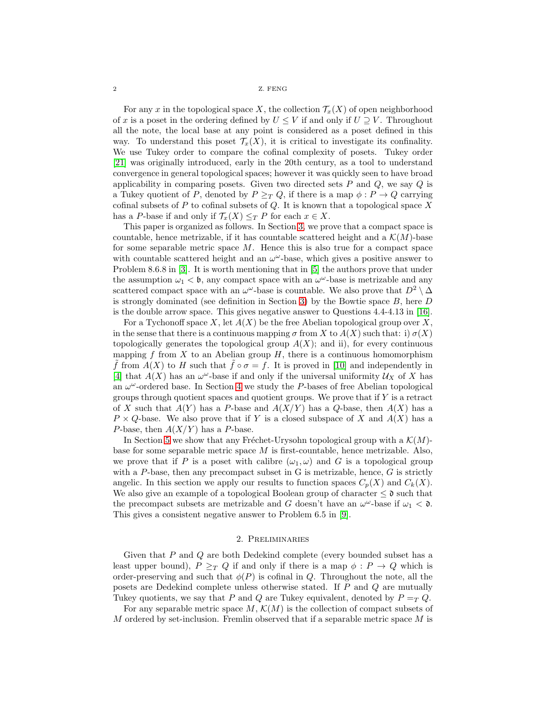2 Z. FENG

For any x in the topological space X, the collection  $\mathcal{T}_x(X)$  of open neighborhood of x is a poset in the ordering defined by  $U \leq V$  if and only if  $U \supseteq V$ . Throughout all the note, the local base at any point is considered as a poset defined in this way. To understand this poset  $\mathcal{T}_x(X)$ , it is critical to investigate its confinality. We use Tukey order to compare the cofinal complexity of posets. Tukey order [\[21\]](#page-11-7) was originally introduced, early in the 20th century, as a tool to understand convergence in general topological spaces; however it was quickly seen to have broad applicability in comparing posets. Given two directed sets  $P$  and  $Q$ , we say  $Q$  is a Tukey quotient of P, denoted by  $P \geq_T Q$ , if there is a map  $\phi : P \to Q$  carrying cofinal subsets of  $P$  to cofinal subsets of  $Q$ . It is known that a topological space  $X$ has a P-base if and only if  $\mathcal{T}_x(X) \leq_T P$  for each  $x \in X$ .

This paper is organized as follows. In Section [3,](#page-2-0) we prove that a compact space is countable, hence metrizable, if it has countable scattered height and a  $\mathcal{K}(M)$ -base for some separable metric space  $M$ . Hence this is also true for a compact space with countable scattered height and an  $\omega^{\omega}$ -base, which gives a positive answer to Problem 8.6.8 in [\[3\]](#page-11-0). It is worth mentioning that in [\[5\]](#page-11-8) the authors prove that under the assumption  $\omega_1 < \mathfrak{b}$ , any compact space with an  $\omega^{\omega}$ -base is metrizable and any scattered compact space with an  $\omega^{\omega}$ -base is countable. We also prove that  $D^2 \setminus \Delta$ is strongly dominated (see definition in Section [3\)](#page-2-0) by the Bowtie space  $B$ , here  $D$ is the double arrow space. This gives negative answer to Questions 4.4-4.13 in [\[16\]](#page-11-9).

For a Tychonoff space X, let  $A(X)$  be the free Abelian topological group over X, in the sense that there is a continuous mapping  $\sigma$  from X to  $A(X)$  such that: i)  $\sigma(X)$ topologically generates the topological group  $A(X)$ ; and ii), for every continuous mapping f from X to an Abelian group  $H$ , there is a continuous homomorphism  $\tilde{f}$  from  $A(X)$  to H such that  $\tilde{f} \circ \sigma = f$ . It is proved in [\[10\]](#page-11-10) and independently in [\[4\]](#page-11-4) that  $A(X)$  has an  $\omega^{\omega}$ -base if and only if the universal uniformity  $\mathcal{U}_X$  of X has an  $\omega^{\omega}$ -ordered base. In Section [4](#page-5-0) we study the P-bases of free Abelian topological groups through quotient spaces and quotient groups. We prove that if  $Y$  is a retract of X such that  $A(Y)$  has a P-base and  $A(X/Y)$  has a Q-base, then  $A(X)$  has a  $P \times Q$ -base. We also prove that if Y is a closed subspace of X and  $A(X)$  has a P-base, then  $A(X/Y)$  has a P-base.

In Section [5](#page-8-0) we show that any Fréchet-Urysohn topological group with a  $\mathcal{K}(M)$ base for some separable metric space  $M$  is first-countable, hence metrizable. Also, we prove that if P is a poset with calibre  $(\omega_1, \omega)$  and G is a topological group with a P-base, then any precompact subset in G is metrizable, hence,  $G$  is strictly angelic. In this section we apply our results to function spaces  $C_p(X)$  and  $C_k(X)$ . We also give an example of a topological Boolean group of character  $\leq \mathfrak{d}$  such that the precompact subsets are metrizable and G doesn't have an  $\omega^{\omega}$ -base if  $\omega_1 < \mathfrak{d}$ . This gives a consistent negative answer to Problem 6.5 in [\[9\]](#page-11-1).

# 2. Preliminaries

Given that P and Q are both Dedekind complete (every bounded subset has a least upper bound),  $P \geq_T Q$  if and only if there is a map  $\phi : P \to Q$  which is order-preserving and such that  $\phi(P)$  is cofinal in Q. Throughout the note, all the posets are Dedekind complete unless otherwise stated. If P and Q are mutually Tukey quotients, we say that P and Q are Tukey equivalent, denoted by  $P = T Q$ .

For any separable metric space  $M, \mathcal{K}(M)$  is the collection of compact subsets of  $M$  ordered by set-inclusion. Fremlin observed that if a separable metric space  $M$  is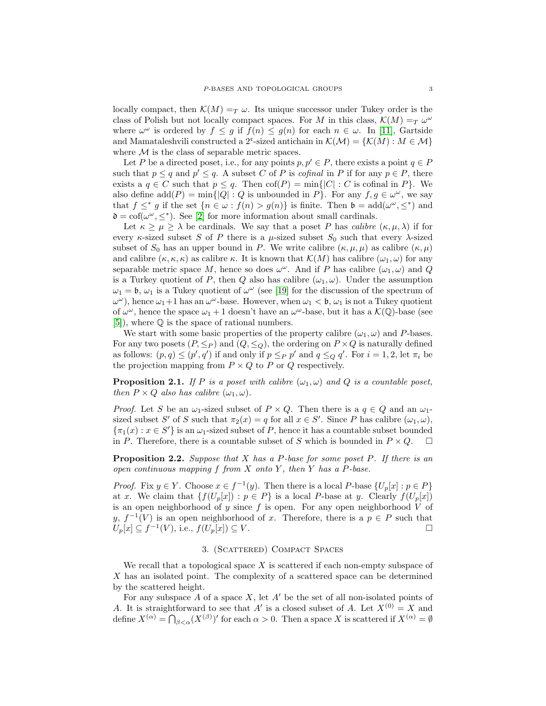locally compact, then  $\mathcal{K}(M) =_T \omega$ . Its unique successor under Tukey order is the class of Polish but not locally compact spaces. For M in this class,  $\mathcal{K}(M) =_T \omega^{\omega}$ where  $\omega^{\omega}$  is ordered by  $f \leq g$  if  $f(n) \leq g(n)$  for each  $n \in \omega$ . In [\[11\]](#page-11-11), Gartside and Mamataleshvili constructed a 2<sup>c</sup>-sized antichain in  $\mathcal{K}(\mathcal{M}) = \{ \mathcal{K}(M) : M \in \mathcal{M} \}$ where  $M$  is the class of separable metric spaces.

Let P be a directed poset, i.e., for any points  $p, p' \in P$ , there exists a point  $q \in P$ such that  $p \leq q$  and  $p' \leq q$ . A subset C of P is *cofinal* in P if for any  $p \in P$ , there exists a  $q \in C$  such that  $p \leq q$ . Then  $\text{cof}(P) = \min\{|C| : C$  is cofinal in  $P\}$ . We also define  $add(P) = min\{|Q| : Q$  is unbounded in P}. For any  $f, g \in \omega^{\omega}$ , we say that  $f \leq^* g$  if the set  $\{n \in \omega : f(n) > g(n)\}\$ is finite. Then  $\mathfrak{b} = \text{add}(\omega^\omega, \leq^*)$  and  $\mathfrak{d} = \text{cof}(\omega^{\omega}, \leq^*)$ . See [\[2\]](#page-11-12) for more information about small cardinals.

Let  $\kappa \geq \mu \geq \lambda$  be cardinals. We say that a poset P has *calibre*  $(\kappa, \mu, \lambda)$  if for every  $\kappa$ -sized subset S of P there is a  $\mu$ -sized subset  $S_0$  such that every  $\lambda$ -sized subset of  $S_0$  has an upper bound in P. We write calibre  $(\kappa, \mu, \mu)$  as calibre  $(\kappa, \mu)$ and calibre  $(\kappa, \kappa, \kappa)$  as calibre  $\kappa$ . It is known that  $\mathcal{K}(M)$  has calibre  $(\omega_1, \omega)$  for any separable metric space M, hence so does  $\omega^{\omega}$ . And if P has calibre  $(\omega_1, \omega)$  and Q is a Turkey quotient of P, then Q also has calibre  $(\omega_1, \omega)$ . Under the assumption  $\omega_1 = \mathfrak{b}, \omega_1$  is a Tukey quotient of  $\omega^{\omega}$  (see [\[19\]](#page-11-13) for the discussion of the spectrum of  $\omega^{\omega}$ ), hence  $\omega_1+1$  has an  $\omega^{\omega}$ -base. However, when  $\omega_1 < \mathfrak{b}, \omega_1$  is not a Tukey quotient of  $\omega^{\omega}$ , hence the space  $\omega_1 + 1$  doesn't have an  $\omega^{\omega}$ -base, but it has a  $\mathcal{K}(\mathbb{Q})$ -base (see [\[5\]](#page-11-8)), where Q is the space of rational numbers.

We start with some basic properties of the property calibre  $(\omega_1, \omega)$  and P-bases. For any two posets  $(P, \leq_P)$  and  $(Q, \leq_Q)$ , the ordering on  $P \times Q$  is naturally defined as follows:  $(p, q) \leq (p', q')$  if and only if  $p \leq_P p'$  and  $q \leq_Q q'$ . For  $i = 1, 2$ , let  $\pi_i$  be the projection mapping from  $P \times Q$  to P or Q respectively.

**Proposition 2.1.** If P is a poset with calibre  $(\omega_1, \omega)$  and Q is a countable poset, then  $P \times Q$  also has calibre  $(\omega_1, \omega)$ .

*Proof.* Let S be an  $\omega_1$ -sized subset of  $P \times Q$ . Then there is a  $q \in Q$  and an  $\omega_1$ sized subset S' of S such that  $\pi_2(x) = q$  for all  $x \in S'$ . Since P has calibre  $(\omega_1, \omega)$ ,  $\{\pi_1(x) : x \in S'\}$  is an  $\omega_1$ -sized subset of P, hence it has a countable subset bounded in P. Therefore, there is a countable subset of S which is bounded in  $P \times Q$ .  $\Box$ 

<span id="page-2-1"></span>**Proposition 2.2.** Suppose that X has a P-base for some poset P. If there is an open continuous mapping  $f$  from  $X$  onto  $Y$ , then  $Y$  has a  $P$ -base.

*Proof.* Fix  $y \in Y$ . Choose  $x \in f^{-1}(y)$ . Then there is a local P-base  $\{U_p[x] : p \in P\}$ at x. We claim that  $\{f(U_p[x]) : p \in P\}$  is a local P-base at y. Clearly  $f(U_p[x])$ is an open neighborhood of  $y$  since  $f$  is open. For any open neighborhood  $V$  of y,  $f^{-1}(V)$  is an open neighborhood of x. Therefore, there is a  $p \in P$  such that  $U_p[x] \subseteq f^{-1}(V)$ , i.e.,  $f(U_p[x]) \subseteq V$ .

# 3. (Scattered) Compact Spaces

<span id="page-2-0"></span>We recall that a topological space  $X$  is scattered if each non-empty subspace of X has an isolated point. The complexity of a scattered space can be determined by the scattered height.

For any subspace  $A$  of a space  $X$ , let  $A'$  be the set of all non-isolated points of A. It is straightforward to see that A' is a closed subset of A. Let  $X^{(0)} = X$  and define  $X^{(\alpha)} = \bigcap_{\beta < \alpha} (X^{(\beta)})'$  for each  $\alpha > 0$ . Then a space X is scattered if  $X^{(\alpha)} = \emptyset$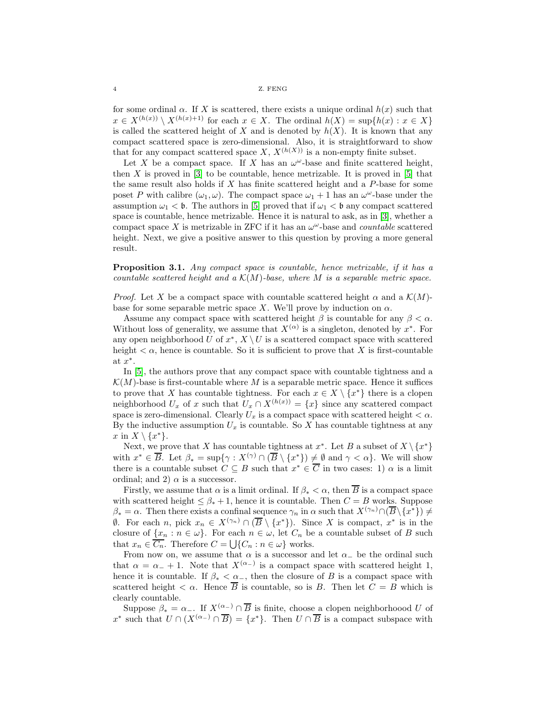for some ordinal  $\alpha$ . If X is scattered, there exists a unique ordinal  $h(x)$  such that  $x \in X^{(h(x))} \setminus X^{(h(x)+1)}$  for each  $x \in X$ . The ordinal  $h(X) = \sup\{h(x) : x \in X\}$ is called the scattered height of X and is denoted by  $h(X)$ . It is known that any compact scattered space is zero-dimensional. Also, it is straightforward to show that for any compact scattered space X,  $X^{(h(X))}$  is a non-empty finite subset.

Let X be a compact space. If X has an  $\omega^{\omega}$ -base and finite scattered height, then  $X$  is proved in  $[3]$  to be countable, hence metrizable. It is proved in  $[5]$  that the same result also holds if  $X$  has finite scattered height and a  $P$ -base for some poset P with calibre  $(\omega_1, \omega)$ . The compact space  $\omega_1 + 1$  has an  $\omega^{\omega}$ -base under the assumption  $\omega_1 < \mathfrak{b}$ . The authors in [\[5\]](#page-11-8) proved that if  $\omega_1 < \mathfrak{b}$  any compact scattered space is countable, hence metrizable. Hence it is natural to ask, as in [\[3\]](#page-11-0), whether a compact space X is metrizable in ZFC if it has an  $\omega^{\omega}$ -base and *countable* scattered height. Next, we give a positive answer to this question by proving a more general result.

Proposition 3.1. Any compact space is countable, hence metrizable, if it has a countable scattered height and a  $\mathcal{K}(M)$ -base, where M is a separable metric space.

*Proof.* Let X be a compact space with countable scattered height  $\alpha$  and a  $\mathcal{K}(M)$ base for some separable metric space X. We'll prove by induction on  $\alpha$ .

Assume any compact space with scattered height  $\beta$  is countable for any  $\beta < \alpha$ . Without loss of generality, we assume that  $X^{(\alpha)}$  is a singleton, denoted by  $x^*$ . For any open neighborhood U of  $x^*$ ,  $X \setminus U$  is a scattered compact space with scattered height  $\lt \alpha$ , hence is countable. So it is sufficient to prove that X is first-countable at  $x^*$ .

In [\[5\]](#page-11-8), the authors prove that any compact space with countable tightness and a  $\mathcal{K}(M)$ -base is first-countable where M is a separable metric space. Hence it suffices to prove that X has countable tightness. For each  $x \in X \setminus \{x^*\}$  there is a clopen neighborhood  $U_x$  of x such that  $U_x \cap X^{(h(x))} = \{x\}$  since any scattered compact space is zero-dimensional. Clearly  $U_x$  is a compact space with scattered height  $\lt \alpha$ . By the inductive assumption  $U_x$  is countable. So X has countable tightness at any  $x \text{ in } X \setminus \{x^*\}.$ 

Next, we prove that X has countable tightness at  $x^*$ . Let B a subset of  $X \setminus \{x^*\}$ with  $x^* \in \overline{B}$ . Let  $\beta_* = \sup\{\gamma : X^{(\gamma)} \cap (\overline{B} \setminus \{x^*\}) \neq \emptyset \text{ and } \gamma < \alpha\}$ . We will show there is a countable subset  $C \subseteq B$  such that  $x^* \in \overline{C}$  in two cases: 1)  $\alpha$  is a limit ordinal; and 2)  $\alpha$  is a successor.

Firstly, we assume that  $\alpha$  is a limit ordinal. If  $\beta_* < \alpha$ , then  $\overline{B}$  is a compact space with scattered height  $\leq \beta_* + 1$ , hence it is countable. Then  $C = B$  works. Suppose  $\beta_* = \alpha$ . Then there exists a confinal sequence  $\gamma_n$  in  $\alpha$  such that  $X^{(\gamma_n)} \cap (\overline{B} \setminus \{x^*\}) \neq 0$  $\emptyset$ . For each n, pick  $x_n \in X^{(\gamma_n)} \cap (\overline{B} \setminus \{x^*\})$ . Since X is compact,  $x^*$  is in the closure of  $\{x_n : n \in \omega\}$ . For each  $n \in \omega$ , let  $C_n$  be a countable subset of B such that  $x_n \in C_n$ . Therefore  $C = \bigcup \{C_n : n \in \omega\}$  works.

From now on, we assume that  $\alpha$  is a successor and let  $\alpha_{-}$  be the ordinal such that  $\alpha = \alpha_{-} + 1$ . Note that  $X^{(\alpha_{-})}$  is a compact space with scattered height 1, hence it is countable. If  $\beta_* < \alpha_-$ , then the closure of B is a compact space with scattered height  $\lt \alpha$ . Hence  $\overline{B}$  is countable, so is B. Then let  $C = B$  which is clearly countable.

Suppose  $\beta_* = \alpha_-$ . If  $X^{(\alpha_-)} \cap \overline{B}$  is finite, choose a clopen neighborhoood U of x<sup>\*</sup> such that  $U \cap (X^{(\alpha_-)} \cap \overline{B}) = \{x^*\}.$  Then  $U \cap \overline{B}$  is a compact subspace with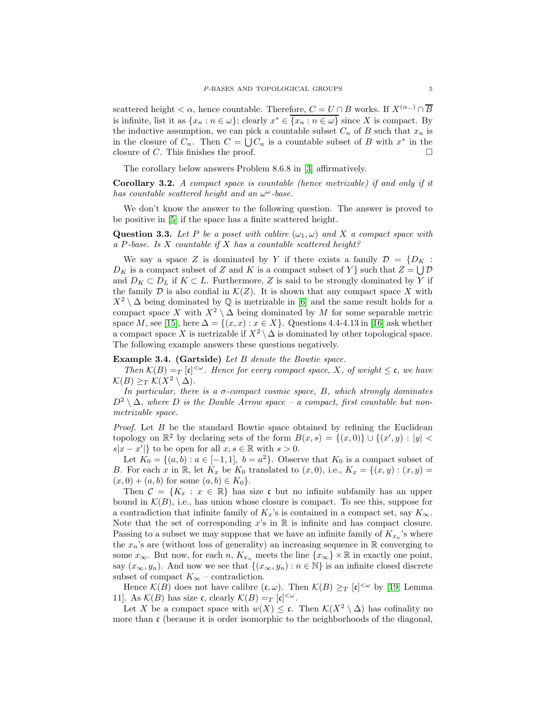scattered height <  $\alpha$ , hence countable. Therefore,  $C = U \cap B$  works. If  $X^{(\alpha_-)} \cap \overline{B}$ is infinite, list it as  $\{x_n : n \in \omega\}$ ; clearly  $x^* \in \overline{\{x_n : n \in \omega\}}$  since X is compact. By the inductive assumption, we can pick a countable subset  $C_n$  of B such that  $x_n$  is in the closure of  $C_n$ . Then  $C = \bigcup C_n$  is a countable subset of B with  $x^*$  in the closure of C. This finishes the proof.  $\square$ 

The corollary below answers Problem 8.6.8 in [\[3\]](#page-11-0) affirmatively.

Corollary 3.2. A compact space is countable (hence metrizable) if and only if it has countable scattered height and an  $\omega^{\omega}$ -base.

We don't know the answer to the following question. The answer is proved to be positive in [\[5\]](#page-11-8) if the space has a finite scattered height.

**Question 3.3.** Let P be a poset with cablire  $(\omega_1, \omega)$  and X a compact space with a P-base. Is X countable if X has a countable scattered height?

We say a space Z is dominated by Y if there exists a family  $\mathcal{D} = \{D_K :$  $D_K$  is a compact subset of Z and K is a compact subset of Y } such that  $Z = \bigcup \mathcal{D}$ and  $D_K \subset D_L$  if  $K \subset L$ . Furthermore, Z is said to be strongly dominated by Y if the family  $D$  is also confial in  $\mathcal{K}(Z)$ . It is shown that any compact space X with  $X^2 \setminus \Delta$  being dominated by  $\mathbb Q$  is metrizable in [\[6\]](#page-11-14) and the same result holds for a compact space X with  $X^2 \setminus \Delta$  being dominated by M for some separable metric space M, see [\[15\]](#page-11-15), here  $\Delta = \{(x, x) : x \in X\}$ . Questions 4.4-4.13 in [\[16\]](#page-11-9) ask whether a compact space X is metrizable if  $X^2 \setminus \Delta$  is dominated by other topological space. The following example answers these questions negatively.

## <span id="page-4-0"></span>Example 3.4. (Gartside) Let B denote the Bowtie space.

Then  $\mathcal{K}(B) =_T [\mathfrak{c}]^{<\omega}$ . Hence for every compact space, X, of weight  $\leq \mathfrak{c}$ , we have  $\mathcal{K}(B) \geq_T \mathcal{K}(X^2 \setminus \Delta).$ 

In particular, there is a  $\sigma$ -compact cosmic space,  $B$ , which strongly dominates  $D^2 \setminus \Delta$ , where D is the Double Arrow space – a compact, first countable but nonmetrizable space.

*Proof.* Let  $B$  be the standard Bowtie space obtained by refining the Euclidean topology on  $\mathbb{R}^2$  by declaring sets of the form  $B(x, s) = \{(x, 0)\} \cup \{(x', y) : |y| <$  $s|x-x'|$  to be open for all  $x, s \in \mathbb{R}$  with  $s > 0$ .

Let  $K_0 = \{(a, b) : a \in [-1, 1], b = a^2\}$ . Observe that  $K_0$  is a compact subset of B. For each x in R, let  $K_x$  be  $K_0$  translated to  $(x, 0)$ , i.e.,  $K_x = \{(x, y) : (x, y) =$  $(x, 0) + (a, b)$  for some  $(a, b) \in K_0$ .

Then  $\mathcal{C} = \{K_x : x \in \mathbb{R}\}\$  has size c but no infinite subfamily has an upper bound in  $\mathcal{K}(B)$ , i.e., has union whose closure is compact. To see this, suppose for a contradiction that infinite family of  $K_x$ 's is contained in a compact set, say  $K_\infty$ . Note that the set of corresponding  $x$ 's in  $\mathbb R$  is infinite and has compact closure. Passing to a subset we may suppose that we have an infinite family of  $K_{x_n}$ 's where the  $x_n$ 's are (without loss of generality) an increasing sequence in  $\mathbb R$  converging to some  $x_{\infty}$ . But now, for each n,  $K_{x_n}$  meets the line  $\{x_{\infty}\}\times\mathbb{R}$  in exactly one point, say  $(x_{\infty}, y_n)$ . And now we see that  $\{(x_{\infty}, y_n) : n \in \mathbb{N}\}\)$  is an infinite closed discrete subset of compact  $K_{\infty}$  – contradiction.

Hence  $\mathcal{K}(B)$  does not have calibre  $(c, \omega)$ . Then  $\mathcal{K}(B) \geq_T [c]^{<\omega}$  by [\[19,](#page-11-13) Lemma 11]. As  $\mathcal{K}(B)$  has size c, clearly  $\mathcal{K}(B) =_T [c]^{<\omega}$ .

Let X be a compact space with  $w(X) \leq \mathfrak{c}$ . Then  $\mathcal{K}(X^2 \setminus \Delta)$  has cofinality no more than  $\mathfrak c$  (because it is order isomorphic to the neighborhoods of the diagonal,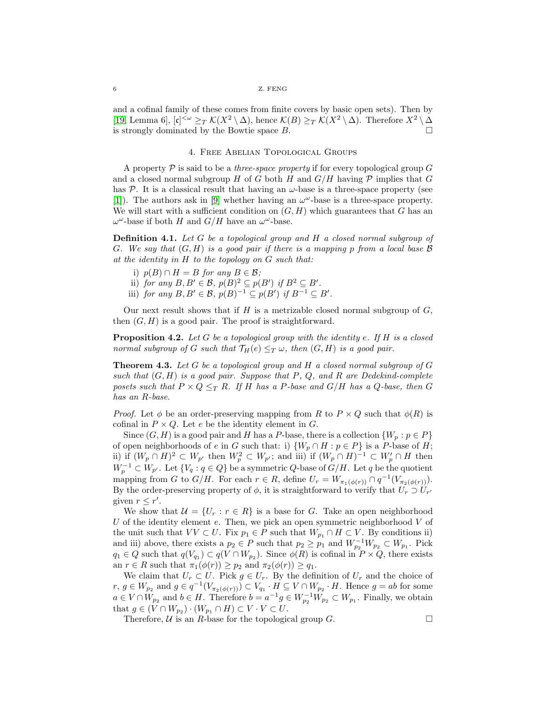#### 6 Z. FENG

and a cofinal family of these comes from finite covers by basic open sets). Then by [\[19,](#page-11-13) Lemma 6],  $[\mathfrak{c}]^{<\omega} \geq_T \mathcal{K}(X^2 \setminus \Delta)$ , hence  $\mathcal{K}(B) \geq_T \mathcal{K}(X^2 \setminus \Delta)$ . Therefore  $X^2 \setminus \Delta$ is strongly dominated by the Bowtie space  $B$ .

## 4. Free Abelian Topological Groups

<span id="page-5-0"></span>A property  $\mathcal P$  is said to be a *three-space property* if for every topological group G and a closed normal subgroup H of G both H and  $G/H$  having P implies that G has P. It is a classical result that having an  $\omega$ -base is a three-space property (see [\[1\]](#page-11-16)). The authors ask in [\[9\]](#page-11-1) whether having an  $\omega^{\omega}$ -base is a three-space property. We will start with a sufficient condition on  $(G, H)$  which guarantees that G has an  $\omega^{\omega}$ -base if both H and  $G/H$  have an  $\omega^{\omega}$ -base.

Definition 4.1. Let G be a topological group and H a closed normal subgroup of G. We say that  $(G, H)$  is a good pair if there is a mapping p from a local base  $\beta$ at the identity in H to the topology on G such that:

- i)  $p(B) \cap H = B$  for any  $B \in \mathcal{B}$ ;
- ii) for any  $B, B' \in \mathcal{B}, p(B)^2 \subseteq p(B')$  if  $B^2 \subseteq B'$ .
- iii) for any  $B, B' \in \mathcal{B}, p(B)^{-1} \subseteq p(B')$  if  $B^{-1} \subseteq B'$ .

Our next result shows that if  $H$  is a metrizable closed normal subgroup of  $G$ , then  $(G, H)$  is a good pair. The proof is straightforward.

<span id="page-5-1"></span>**Proposition 4.2.** Let G be a topological group with the identity e. If  $H$  is a closed normal subgroup of G such that  $\mathcal{T}_H(e) \leq_T \omega$ , then  $(G, H)$  is a good pair.

<span id="page-5-2"></span>**Theorem 4.3.** Let G be a topological group and H a closed normal subgroup of G such that  $(G, H)$  is a good pair. Suppose that P, Q, and R are Dedekind-complete posets such that  $P \times Q \leq_T R$ . If H has a P-base and  $G/H$  has a Q-base, then G has an R-base.

*Proof.* Let  $\phi$  be an order-preserving mapping from R to  $P \times Q$  such that  $\phi(R)$  is cofinal in  $P \times Q$ . Let e be the identity element in G.

Since  $(G, H)$  is a good pair and H has a P-base, there is a collection  $\{W_p : p \in P\}$ of open neighborhoods of e in G such that: i)  $\{W_p \cap H : p \in P\}$  is a P-base of H; ii) if  $(W_p \cap H)^2 \subset W_{p'}$  then  $W_p^2 \subset W_{p'}$ ; and iii) if  $(W_p \cap H)^{-1} \subset W'_p \cap H$  then  $W_p^{-1} \subset W_{p'}$ . Let  $\{V_q : q \in Q\}$  be a symmetric  $Q$ -base of  $G/H$ . Let q be the quotient mapping from G to  $G/H$ . For each  $r \in R$ , define  $U_r = W_{\pi_1(\phi(r))} \cap q^{-1}(V_{\pi_2(\phi(r))})$ . By the order-preserving property of  $\phi$ , it is straightforward to verify that  $U_r \supset U_{r'}$ given  $r \leq r'$ .

We show that  $\mathcal{U} = \{U_r : r \in R\}$  is a base for G. Take an open neighborhood U of the identity element  $e$ . Then, we pick an open symmetric neighborhood  $V$  of the unit such that  $VV \subset U$ . Fix  $p_1 \in P$  such that  $W_{p_1} \cap H \subset V$ . By conditions ii) and iii) above, there exists a  $p_2 \in P$  such that  $p_2 \geq p_1$  and  $W_{p_2}^{-1}W_{p_2} \subset W_{p_1}$ . Pick  $q_1 \in Q$  such that  $q(V_{q_1}) \subset q(V \cap W_{p_2})$ . Since  $\phi(R)$  is cofinal in  $P \times Q$ , there exists an  $r \in R$  such that  $\pi_1(\phi(r)) \geq p_2$  and  $\pi_2(\phi(r)) \geq q_1$ .

We claim that  $U_r \subset U$ . Pick  $g \in U_r$ . By the definition of  $U_r$  and the choice of  $r, g \in W_{p_2}$  and  $g \in q^{-1}(V_{\pi_2(\phi(r))}) \subset V_{q_1} \cdot H \subseteq V \cap W_{p_2} \cdot H$ . Hence  $g = ab$  for some  $a \in V \cap W_{p_2}$  and  $b \in H$ . Therefore  $b = a^{-1}g \in W_{p_2}^{-1}W_{p_2} \subset W_{p_1}$ . Finally, we obtain that  $g \in (V \cap W_{p_2}) \cdot (W_{p_1} \cap H) \subset V \cdot V \subset U$ .

Therefore,  $U$  is an R-base for the topological group G.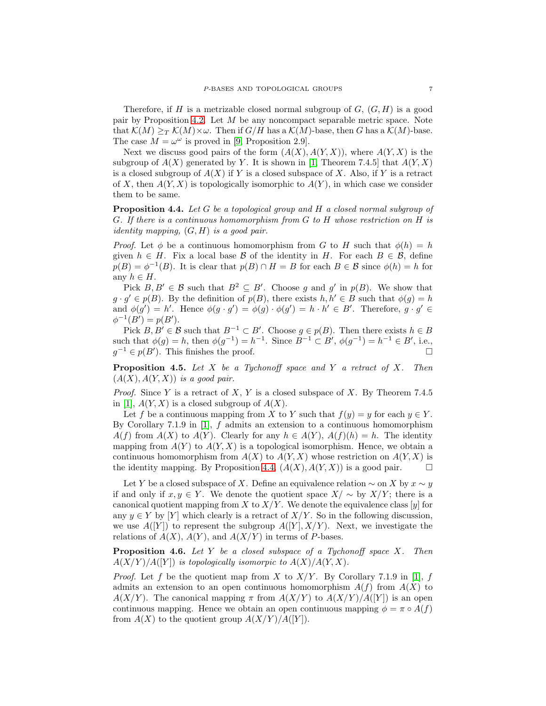Therefore, if H is a metrizable closed normal subgroup of  $G, (G, H)$  is a good pair by Proposition [4.2.](#page-5-1) Let M be any noncompact separable metric space. Note that  $\mathcal{K}(M) \geq_T \mathcal{K}(M) \times \omega$ . Then if  $G/H$  has a  $\mathcal{K}(M)$ -base, then G has a  $\mathcal{K}(M)$ -base. The case  $M = \omega^{\omega}$  is proved in [\[9,](#page-11-1) Proposition 2.9].

Next we discuss good pairs of the form  $(A(X), A(Y, X))$ , where  $A(Y, X)$  is the subgroup of  $A(X)$  generated by Y. It is shown in [\[1,](#page-11-16) Theorem 7.4.5] that  $A(Y, X)$ is a closed subgroup of  $A(X)$  if Y is a closed subspace of X. Also, if Y is a retract of X, then  $A(Y, X)$  is topologically isomorphic to  $A(Y)$ , in which case we consider them to be same.

<span id="page-6-0"></span>Proposition 4.4. Let G be a topological group and H a closed normal subgroup of G. If there is a continuous homomorphism from G to H whose restriction on H is *identity mapping,*  $(G, H)$  *is a good pair.* 

*Proof.* Let  $\phi$  be a continuous homomorphism from G to H such that  $\phi(h) = h$ given  $h \in H$ . Fix a local base B of the identity in H. For each  $B \in \mathcal{B}$ , define  $p(B) = \phi^{-1}(B)$ . It is clear that  $p(B) \cap H = B$  for each  $B \in \mathcal{B}$  since  $\phi(h) = h$  for any  $h \in H$ .

Pick  $B, B' \in \mathcal{B}$  such that  $B^2 \subseteq B'$ . Choose g and g' in  $p(B)$ . We show that  $g \cdot g' \in p(B)$ . By the definition of  $p(B)$ , there exists  $h, h' \in B$  such that  $\phi(g) = h$ and  $\phi(g') = h'$ . Hence  $\phi(g \cdot g') = \phi(g) \cdot \phi(g') = h \cdot h' \in B'$ . Therefore,  $g \cdot g' \in$  $\phi^{-1}(B') = p(B').$ 

Pick  $B, B' \in \mathcal{B}$  such that  $B^{-1} \subset B'$ . Choose  $g \in p(B)$ . Then there exists  $h \in B$ such that  $\phi(g) = h$ , then  $\phi(g^{-1}) = h^{-1}$ . Since  $B^{-1} \subset B'$ ,  $\phi(g^{-1}) = h^{-1} \in B'$ , i.e.,  $g^{-1} \in p(B')$ . This finishes the proof.

**Proposition 4.5.** Let  $X$  be a Tychonoff space and  $Y$  a retract of  $X$ . Then  $(A(X), A(Y, X))$  is a good pair.

*Proof.* Since Y is a retract of X, Y is a closed subspace of X. By Theorem 7.4.5 in [\[1\]](#page-11-16),  $A(Y, X)$  is a closed subgroup of  $A(X)$ .

Let f be a continuous mapping from X to Y such that  $f(y) = y$  for each  $y \in Y$ . By Corollary 7.1.9 in [\[1\]](#page-11-16),  $f$  admits an extension to a continuous homomorphism  $A(f)$  from  $A(X)$  to  $A(Y)$ . Clearly for any  $h \in A(Y)$ ,  $A(f)(h) = h$ . The identity mapping from  $A(Y)$  to  $A(Y, X)$  is a topological isomorphism. Hence, we obtain a continuous homomorphism from  $A(X)$  to  $A(Y, X)$  whose restriction on  $A(Y, X)$  is the identity mapping. By Proposition [4.4,](#page-6-0)  $(A(X), A(Y, X))$  is a good pair.

Let Y be a closed subspace of X. Define an equivalence relation  $\sim$  on X by  $x \sim y$ if and only if  $x, y \in Y$ . We denote the quotient space  $X/\sim$  by  $X/Y$ ; there is a canonical quotient mapping from X to  $X/Y$ . We denote the equivalence class [y] for any  $y \in Y$  by [Y] which clearly is a retract of  $X/Y$ . So in the following discussion, we use  $A([Y])$  to represent the subgroup  $A([Y], X/Y)$ . Next, we investigate the relations of  $A(X)$ ,  $A(Y)$ , and  $A(X/Y)$  in terms of P-bases.

<span id="page-6-1"></span>**Proposition 4.6.** Let Y be a closed subspace of a Tychonoff space  $X$ . Then  $A(X/Y)/A([Y])$  is topologically isomorpic to  $A(X)/A(Y, X)$ .

*Proof.* Let f be the quotient map from X to  $X/Y$ . By Corollary 7.1.9 in [\[1\]](#page-11-16), f admits an extension to an open continuous homomorphism  $A(f)$  from  $A(X)$  to  $A(X/Y)$ . The canonical mapping  $\pi$  from  $A(X/Y)$  to  $A(X/Y)/A([Y])$  is an open continuous mapping. Hence we obtain an open continuous mapping  $\phi = \pi \circ A(f)$ from  $A(X)$  to the quotient group  $A(X/Y)/A([Y])$ .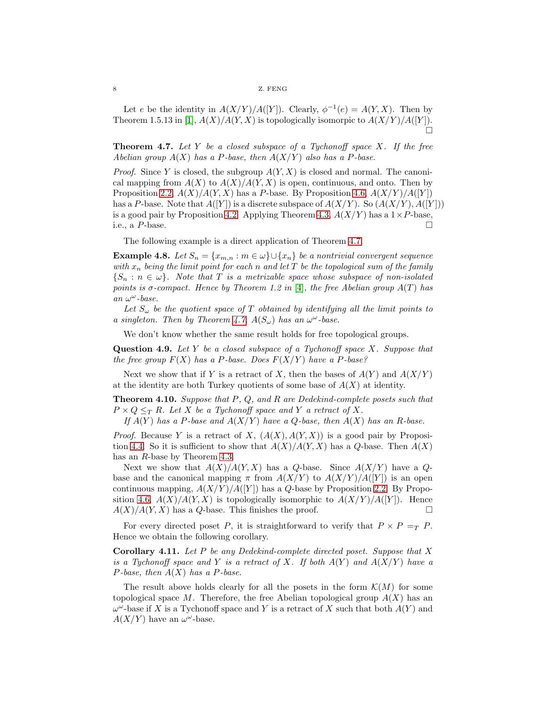Let e be the identity in  $A(X/Y)/A([Y])$ . Clearly,  $\phi^{-1}(e) = A(Y, X)$ . Then by Theorem 1.5.13 in [\[1\]](#page-11-16),  $A(X)/A(Y, X)$  is topologically isomorpic to  $A(X/Y)/A([Y])$ .  $\Box$ 

<span id="page-7-0"></span>**Theorem 4.7.** Let Y be a closed subspace of a Tychonoff space  $X$ . If the free Abelian group  $A(X)$  has a P-base, then  $A(X/Y)$  also has a P-base.

*Proof.* Since Y is closed, the subgroup  $A(Y, X)$  is closed and normal. The canonical mapping from  $A(X)$  to  $A(X)/A(Y, X)$  is open, continuous, and onto. Then by Proposition [2.2,](#page-2-1)  $A(X)/A(Y, X)$  has a P-base. By Proposition [4.6,](#page-6-1)  $A(X/Y)/A(Y)$ has a P-base. Note that  $A([Y])$  is a discrete subspace of  $A(X/Y)$ . So  $(A(X/Y), A([Y]))$ is a good pair by Proposition [4.2.](#page-5-1) Applying Theorem [4.3,](#page-5-2)  $A(X/Y)$  has a  $1 \times P$ -base, i.e., a P-base.  $\square$ 

The following example is a direct application of Theorem [4.7.](#page-7-0)

**Example 4.8.** Let  $S_n = \{x_{m,n} : m \in \omega\} \cup \{x_n\}$  be a nontrivial convergent sequence with  $x_n$  being the limit point for each n and let T be the topological sum of the family  $\{S_n : n \in \omega\}$ . Note that T is a metrizable space whose subspace of non-isolated points is  $\sigma$ -compact. Hence by Theorem 1.2 in [\[4\]](#page-11-4), the free Abelian group  $A(T)$  has an  $\omega^\omega\operatorname{-base}.$ 

Let  $S_{\omega}$  be the quotient space of T obtained by identifying all the limit points to a singleton. Then by Theorem [4.7,](#page-7-0)  $A(S_{\omega})$  has an  $\omega^{\omega}$ -base.

We don't know whether the same result holds for free topological groups.

**Question 4.9.** Let Y be a closed subspace of a Tychonoff space X. Suppose that the free group  $F(X)$  has a P-base. Does  $F(X/Y)$  have a P-base?

Next we show that if Y is a retract of X, then the bases of  $A(Y)$  and  $A(X/Y)$ at the identity are both Turkey quotients of some base of  $A(X)$  at identity.

**Theorem 4.10.** Suppose that  $P$ ,  $Q$ , and  $R$  are Dedekind-complete posets such that  $P \times Q \leq_T R$ . Let X be a Tychonoff space and Y a retract of X.

If  $A(Y)$  has a P-base and  $A(X/Y)$  have a Q-base, then  $A(X)$  has an R-base.

*Proof.* Because Y is a retract of X,  $(A(X), A(Y, X))$  is a good pair by Proposi-tion [4.4.](#page-6-0) So it is sufficient to show that  $A(X)/A(Y, X)$  has a Q-base. Then  $A(X)$ has an R-base by Theorem [4.3.](#page-5-2)

Next we show that  $A(X)/A(Y, X)$  has a Q-base. Since  $A(X/Y)$  have a Qbase and the canonical mapping  $\pi$  from  $A(X/Y)$  to  $A(X/Y)/A([Y])$  is an open continuous mapping,  $A(X/Y)/A([Y])$  has a Q-base by Proposition [2.2.](#page-2-1) By Propo-sition [4.6,](#page-6-1)  $A(X)/A(Y, X)$  is topologically isomorphic to  $A(X/Y)/A([Y])$ . Hence  $A(X)/A(Y, X)$  has a Q-base. This finishes the proof.

For every directed poset P, it is straightforward to verify that  $P \times P = T P$ . Hence we obtain the following corollary.

**Corollary 4.11.** Let  $P$  be any Dedekind-complete directed poset. Suppose that  $X$ is a Tychonoff space and Y is a retract of X. If both  $A(Y)$  and  $A(X/Y)$  have a P-base, then  $A(X)$  has a P-base.

The result above holds clearly for all the posets in the form  $\mathcal{K}(M)$  for some topological space M. Therefore, the free Abelian topological group  $A(X)$  has an  $\omega^{\omega}$ -base if X is a Tychonoff space and Y is a retract of X such that both  $A(Y)$  and  $A(X/Y)$  have an  $\omega^{\omega}$ -base.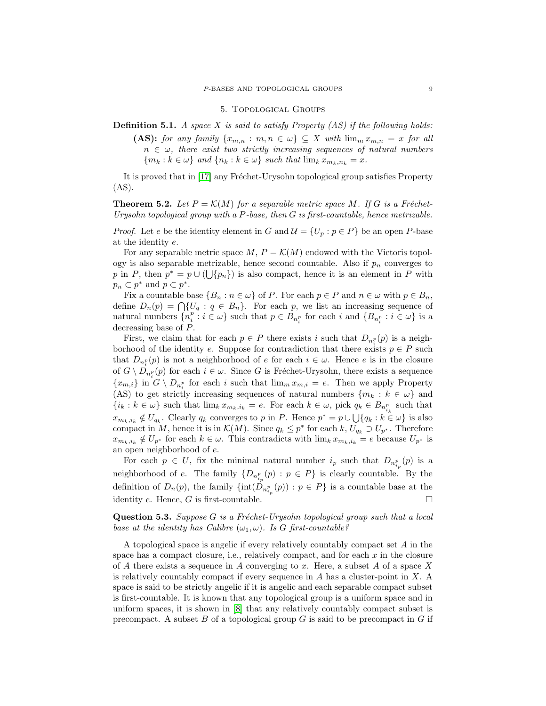#### 5. Topological Groups

<span id="page-8-0"></span>**Definition 5.1.** A space X is said to satisfy Property  $(AS)$  if the following holds:

(AS): for any family  $\{x_{m,n} : m,n \in \omega\} \subseteq X$  with  $\lim_m x_{m,n} = x$  for all  $n \in \omega$ , there exist two strictly increasing sequences of natural numbers  ${m_k : k \in \omega}$  and  ${n_k : k \in \omega}$  such that  $\lim_k x_{m_k,n_k} = x$ .

It is proved that in [\[17\]](#page-11-3) any Fréchet-Urysohn topological group satisfies Property (AS).

**Theorem 5.2.** Let  $P = \mathcal{K}(M)$  for a separable metric space M. If G is a Fréchet-Urysohn topological group with a  $P$ -base, then  $G$  is first-countable, hence metrizable.

*Proof.* Let e be the identity element in G and  $\mathcal{U} = \{U_p : p \in P\}$  be an open P-base at the identity e.

For any separable metric space  $M, P = \mathcal{K}(M)$  endowed with the Vietoris topology is also separable metrizable, hence second countable. Also if  $p_n$  converges to p in P, then  $p^* = p \cup (\bigcup \{p_n\})$  is also compact, hence it is an element in P with  $p_n \subset p^*$  and  $p \subset p^*$ .

Fix a countable base  $\{B_n : n \in \omega\}$  of P. For each  $p \in P$  and  $n \in \omega$  with  $p \in B_n$ , define  $D_n(p) = \bigcap \{U_q : q \in B_n\}.$  For each p, we list an increasing sequence of natural numbers  $\{n_i^p : i \in \omega\}$  such that  $p \in B_{n_i^p}$  for each i and  $\{B_{n_i^p} : i \in \omega\}$  is a decreasing base of P.

First, we claim that for each  $p \in P$  there exists i such that  $D_{n_i^p}(p)$  is a neighborhood of the identity e. Suppose for contradiction that there exists  $p \in P$  such that  $D_{n_i^p}(p)$  is not a neighborhood of e for each  $i \in \omega$ . Hence e is in the closure of  $G \setminus D_{n_i^p}(p)$  for each  $i \in \omega$ . Since G is Fréchet-Urysohn, there exists a sequence  $\{x_{m,i}\}\$ in  $G \setminus D_{n_i^p}$  for each i such that  $\lim_m x_{m,i} = e$ . Then we apply Property (AS) to get strictly increasing sequences of natural numbers  ${m_k : k \in \omega}$  and  $\{i_k : k \in \omega\}$  such that  $\lim_k x_{m_k, i_k} = e$ . For each  $k \in \omega$ , pick  $q_k \in B_{n_{i_k}^p}$  such that  $x_{m_k,i_k} \notin U_{q_k}$ . Clearly  $q_k$  converges to p in P. Hence  $p^* = p \cup \bigcup \{q_k : k \in \omega\}$  is also compact in M, hence it is in  $\mathcal{K}(M)$ . Since  $q_k \leq p^*$  for each  $k, U_{q_k} \supset U_{p^*}$ . Therefore  $x_{m_k,i_k} \notin U_{p^*}$  for each  $k \in \omega$ . This contradicts with  $\lim_k x_{m_k,i_k} = e$  because  $U_{p^*}$  is an open neighborhood of e.

For each  $p \in U$ , fix the minimal natural number  $i_p$  such that  $D_{n_{i_p}^p}(p)$  is a neighborhood of e. The family  $\{D_{n_{i_p}^p}(p) : p \in P\}$  is clearly countable. By the definition of  $D_n(p)$ , the family  $\{\text{int}(D_{n_{i_p}^p}(p)) : p \in P\}$  is a countable base at the identity e. Hence, G is first-countable.  $\square$ 

**Question 5.3.** Suppose G is a Fréchet-Urysohn topological group such that a local base at the identity has Calibre  $(\omega_1, \omega)$ . Is G first-countable?

A topological space is angelic if every relatively countably compact set A in the space has a compact closure, i.e., relatively compact, and for each  $x$  in the closure of A there exists a sequence in A converging to x. Here, a subset A of a space X is relatively countably compact if every sequence in  $A$  has a cluster-point in  $X$ . A space is said to be strictly angelic if it is angelic and each separable compact subset is first-countable. It is known that any topological group is a uniform space and in uniform spaces, it is shown in [\[8\]](#page-11-17) that any relatively countably compact subset is precompact. A subset  $B$  of a topological group  $G$  is said to be precompact in  $G$  if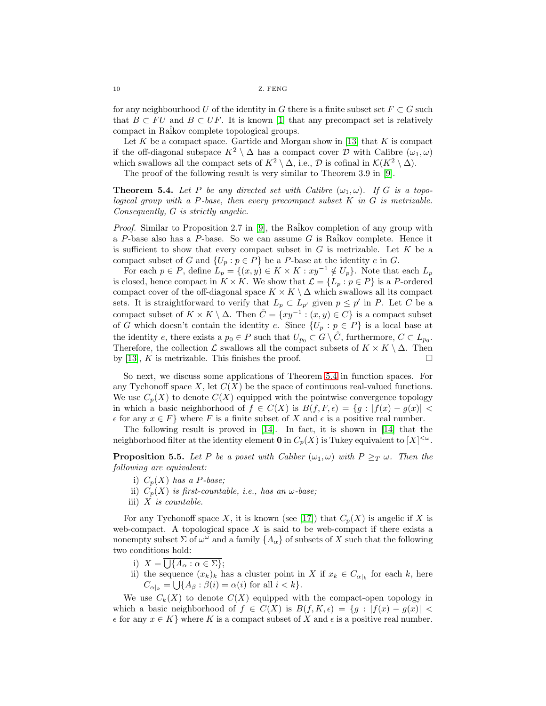10 Z. FENG

for any neighbourhood U of the identity in G there is a finite subset set  $F \subset G$  such that  $B \subset FU$  and  $B \subset UF$ . It is known [\[1\]](#page-11-16) that any precompact set is relatively compact in Raikov complete topological groups.

Let  $K$  be a compact space. Gartide and Morgan show in [\[13\]](#page-11-18) that  $K$  is compact if the off-diagonal subspace  $K^2 \setminus \Delta$  has a compact cover  $\mathcal D$  with Calibre  $(\omega_1, \omega)$ which swallows all the compact sets of  $K^2 \setminus \Delta$ , i.e.,  $\mathcal D$  is cofinal in  $\mathcal K(K^2 \setminus \Delta)$ .

The proof of the following result is very similar to Theorem 3.9 in [\[9\]](#page-11-1).

<span id="page-9-0"></span>**Theorem 5.4.** Let P be any directed set with Calibre  $(\omega_1, \omega)$ . If G is a topological group with a P-base, then every precompact subset  $K$  in  $G$  is metrizable. Consequently, G is strictly angelic.

*Proof.* Similar to Proposition 2.7 in [\[9\]](#page-11-1), the Raikov completion of any group with a P-base also has a P-base. So we can assume  $G$  is Raikov complete. Hence it is sufficient to show that every compact subset in  $G$  is metrizable. Let  $K$  be a compact subset of G and  $\{U_p : p \in P\}$  be a P-base at the identity e in G.

For each  $p \in P$ , define  $L_p = \{(x, y) \in K \times K : xy^{-1} \notin U_p\}$ . Note that each  $L_p$ is closed, hence compact in  $K \times K$ . We show that  $\mathcal{L} = \{L_p : p \in P\}$  is a P-ordered compact cover of the off-diagonal space  $K \times K \setminus \Delta$  which swallows all its compact sets. It is straightforward to verify that  $L_p \subset L_{p'}$  given  $p \leq p'$  in P. Let C be a compact subset of  $K \times K \setminus \Delta$ . Then  $\hat{C} = \{xy^{-1} : (x, y) \in C\}$  is a compact subset of G which doesn't contain the identity e. Since  $\{U_p : p \in P\}$  is a local base at the identity e, there exists a  $p_0 \in P$  such that  $U_{p_0} \subset G \setminus \hat{C}$ , furthermore,  $C \subset L_{p_0}$ . Therefore, the collection  $\mathcal L$  swallows all the compact subsets of  $K \times K \setminus \Delta$ . Then by [\[13\]](#page-11-18), K is metrizable. This finishes the proof.  $\square$ 

So next, we discuss some applications of Theorem [5.4](#page-9-0) in function spaces. For any Tychonoff space  $X$ , let  $C(X)$  be the space of continuous real-valued functions. We use  $C_p(X)$  to denote  $C(X)$  equipped with the pointwise convergence topology in which a basic neighborhood of  $f \in C(X)$  is  $B(f, F, \epsilon) = \{g : |f(x) - g(x)| < \epsilon\}$  $\epsilon$  for any  $x \in F$  where F is a finite subset of X and  $\epsilon$  is a positive real number.

The following result is proved in [\[14\]](#page-11-19). In fact, it is shown in [\[14\]](#page-11-19) that the neighborhood filter at the identity element **0** in  $C_p(X)$  is Tukey equivalent to  $[X]^{<\omega}$ .

**Proposition 5.5.** Let P be a poset with Caliber  $(\omega_1, \omega)$  with  $P \geq_T \omega$ . Then the following are equivalent:

- i)  $C_p(X)$  has a P-base;
- ii)  $C_p(X)$  is first-countable, i.e., has an  $\omega$ -base;
- iii)  $X$  is countable.

For any Tychonoff space X, it is known (see [\[17\]](#page-11-3)) that  $C_p(X)$  is angelic if X is web-compact. A topological space  $X$  is said to be web-compact if there exists a nonempty subset  $\Sigma$  of  $\omega^{\omega}$  and a family  $\{A_{\alpha}\}$  of subsets of X such that the following two conditions hold:

- i)  $X = \bigcup \{A_\alpha : \alpha \in \Sigma\};$
- ii) the sequence  $(x_k)_k$  has a cluster point in X if  $x_k \in C_{\alpha|k}$  for each k, here  $C_{\alpha|_k} = \bigcup \{ A_\beta : \beta(i) = \alpha(i) \text{ for all } i < k \}.$

We use  $C_k(X)$  to denote  $C(X)$  equipped with the compact-open topology in which a basic neighborhood of  $f \in C(X)$  is  $B(f, K, \epsilon) = \{g : |f(x) - g(x)| \leq$  $\epsilon$  for any  $x \in K$  where K is a compact subset of X and  $\epsilon$  is a positive real number.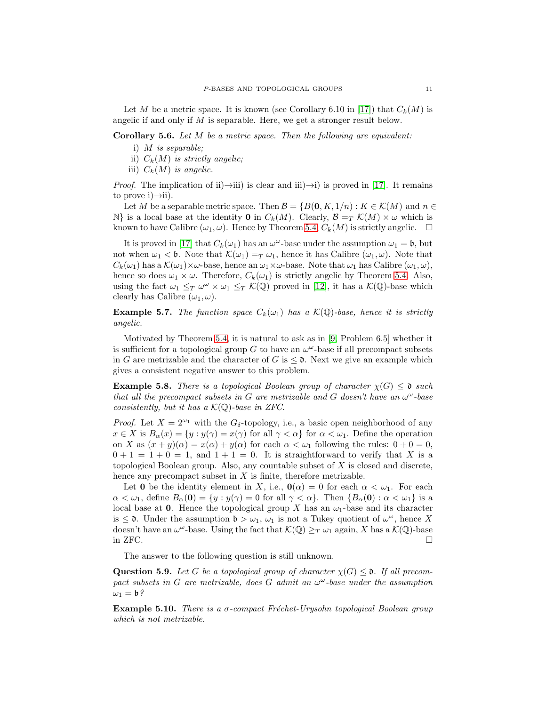Let M be a metric space. It is known (see Corollary 6.10 in [\[17\]](#page-11-3)) that  $C_k(M)$  is angelic if and only if  $M$  is separable. Here, we get a stronger result below.

Corollary 5.6. Let M be a metric space. Then the following are equivalent:

- i) M is separable;
- ii)  $C_k(M)$  is strictly angelic;
- iii)  $C_k(M)$  is angelic.

*Proof.* The implication of ii)→iii) is clear and iii)→i) is proved in [\[17\]](#page-11-3). It remains to prove  $i) \rightarrow ii$ .

Let M be a separable metric space. Then  $\mathcal{B} = \{B(0, K, 1/n) : K \in \mathcal{K}(M) \text{ and } n \in \mathcal{B}\}$  $\mathbb{N}$  is a local base at the identity **0** in  $C_k(M)$ . Clearly,  $\mathcal{B} = T \mathcal{K}(M) \times \omega$  which is known to have Calibre  $(\omega_1, \omega)$ . Hence by Theorem [5.4,](#page-9-0)  $C_k(M)$  is strictly angelic.  $\square$ 

It is proved in [\[17\]](#page-11-3) that  $C_k(\omega_1)$  has an  $\omega^{\omega}$ -base under the assumption  $\omega_1 = \mathfrak{b}$ , but not when  $\omega_1 < \mathfrak{b}$ . Note that  $\mathcal{K}(\omega_1) =_T \omega_1$ , hence it has Calibre  $(\omega_1, \omega)$ . Note that  $C_k(\omega_1)$  has a  $\mathcal{K}(\omega_1)\times\omega$ -base, hence an  $\omega_1\times\omega$ -base. Note that  $\omega_1$  has Calibre  $(\omega_1,\omega)$ , hence so does  $\omega_1 \times \omega$ . Therefore,  $C_k(\omega_1)$  is strictly angelic by Theorem [5.4.](#page-9-0) Also, using the fact  $\omega_1 \leq_T \omega^{\omega} \times \omega_1 \leq_T \mathcal{K}(\mathbb{Q})$  proved in [\[12\]](#page-11-20), it has a  $\mathcal{K}(\mathbb{Q})$ -base which clearly has Calibre  $(\omega_1, \omega)$ .

**Example 5.7.** The function space  $C_k(\omega_1)$  has a  $\mathcal{K}(\mathbb{Q})$ -base, hence it is strictly angelic.

Motivated by Theorem [5.4,](#page-9-0) it is natural to ask as in [\[9,](#page-11-1) Problem 6.5] whether it is sufficient for a topological group  $G$  to have an  $\omega^{\omega}$ -base if all precompact subsets in G are metrizable and the character of G is  $\leq$  0. Next we give an example which gives a consistent negative answer to this problem.

<span id="page-10-0"></span>**Example 5.8.** There is a topological Boolean group of character  $\chi(G) \leq \mathfrak{d}$  such that all the precompact subsets in G are metrizable and G doesn't have an  $\omega^{\omega}$ -base consistently, but it has a  $\mathcal{K}(\mathbb{Q})$ -base in ZFC.

*Proof.* Let  $X = 2^{\omega_1}$  with the  $G_{\delta}$ -topology, i.e., a basic open neighborhood of any  $x \in X$  is  $B_\alpha(x) = \{y : y(\gamma) = x(\gamma) \text{ for all } \gamma < \alpha\}$  for  $\alpha < \omega_1$ . Define the operation on X as  $(x + y)(\alpha) = x(\alpha) + y(\alpha)$  for each  $\alpha < \omega_1$  following the rules:  $0 + 0 = 0$ ,  $0 + 1 = 1 + 0 = 1$ , and  $1 + 1 = 0$ . It is straightforward to verify that X is a topological Boolean group. Also, any countable subset of  $X$  is closed and discrete, hence any precompact subset in  $X$  is finite, therefore metrizable.

Let 0 be the identity element in X, i.e.,  $\mathbf{0}(\alpha) = 0$  for each  $\alpha < \omega_1$ . For each  $\alpha < \omega_1$ , define  $B_\alpha(0) = \{y : y(\gamma) = 0 \text{ for all } \gamma < \alpha\}$ . Then  $\{B_\alpha(0) : \alpha < \omega_1\}$  is a local base at 0. Hence the topological group X has an  $\omega_1$ -base and its character is  $\leq$  0. Under the assumption  $\mathfrak{b} > \omega_1$ ,  $\omega_1$  is not a Tukey quotient of  $\omega^{\omega}$ , hence X doesn't have an  $\omega^{\omega}$ -base. Using the fact that  $\mathcal{K}(\mathbb{Q}) \geq_T \omega_1$  again, X has a  $\mathcal{K}(\mathbb{Q})$ -base in ZFC.  $\Box$ 

The answer to the following question is still unknown.

**Question 5.9.** Let G be a topological group of character  $\chi(G) \leq \mathfrak{d}$ . If all precompact subsets in G are metrizable, does G admit an  $\omega^{\omega}$ -base under the assumption  $\omega_1 = \mathfrak{b}$ ?

**Example 5.10.** There is a  $\sigma$ -compact Fréchet-Urysohn topological Boolean group which is not metrizable.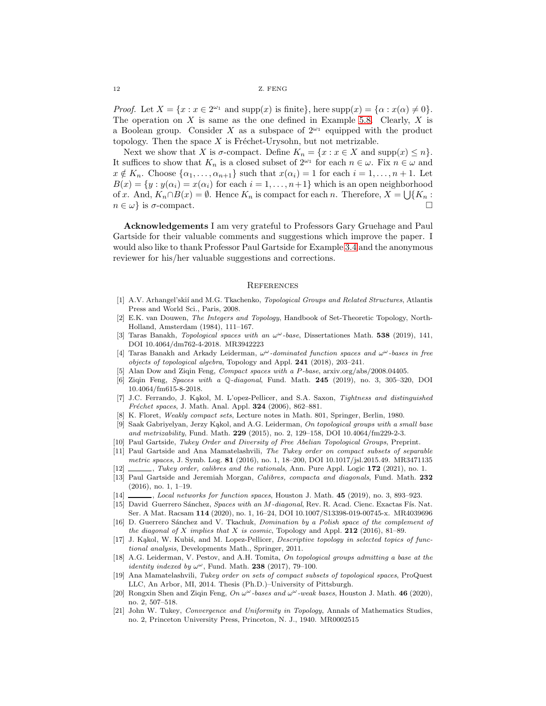*Proof.* Let  $X = \{x : x \in 2^{\omega_1} \text{ and } \text{supp}(x) \text{ is finite}\},\$ here  $\text{supp}(x) = \{\alpha : x(\alpha) \neq 0\}.$ The operation on X is same as the one defined in Example [5.8.](#page-10-0) Clearly, X is a Boolean group. Consider X as a subspace of  $2^{\omega_1}$  equipped with the product topology. Then the space  $X$  is Fréchet-Urysohn, but not metrizable.

Next we show that X is  $\sigma$ -compact. Define  $K_n = \{x : x \in X \text{ and } \text{supp}(x) \leq n\}.$ It suffices to show that  $K_n$  is a closed subset of  $2^{\omega_1}$  for each  $n \in \omega$ . Fix  $n \in \omega$  and  $x \notin K_n$ . Choose  $\{\alpha_1, \ldots, \alpha_{n+1}\}\$  such that  $x(\alpha_i) = 1$  for each  $i = 1, \ldots, n+1$ . Let  $B(x) = \{y : y(\alpha_i) = x(\alpha_i) \text{ for each } i = 1, \dots, n+1\}$  which is an open neighborhood of x. And,  $K_n \cap B(x) = \emptyset$ . Hence  $K_n$  is compact for each n. Therefore,  $X = \bigcup \{K_n :$  $n \in \omega$  is  $\sigma$ -compact.

Acknowledgements I am very grateful to Professors Gary Gruehage and Paul Gartside for their valuable comments and suggestions which improve the paper. I would also like to thank Professor Paul Gartside for Example [3.4](#page-4-0) and the anonymous reviewer for his/her valuable suggestions and corrections.

### **REFERENCES**

- <span id="page-11-16"></span>[1] A.V. Arhangel'skií and M.G. Tkachenko, *Topological Groups and Related Structures*, Atlantis Press and World Sci., Paris, 2008.
- <span id="page-11-12"></span>[2] E.K. van Douwen, The Integers and Topology, Handbook of Set-Theoretic Topology, North-Holland, Amsterdam (1984), 111–167.
- <span id="page-11-0"></span>[3] Taras Banakh, Topological spaces with an  $\omega^{\omega}$ -base, Dissertationes Math. 538 (2019), 141, DOI 10.4064/dm762-4-2018. MR3942223
- <span id="page-11-4"></span>[4] Taras Banakh and Arkady Leiderman,  $\omega^{\omega}$ -dominated function spaces and  $\omega^{\omega}$ -bases in free objects of topological algebra, Topology and Appl. 241 (2018), 203–241.
- <span id="page-11-8"></span>Alan Dow and Ziqin Feng, Compact spaces with a P-base, arxiv.org/abs/2008.04405.
- <span id="page-11-14"></span>[6] Ziqin Feng, Spaces with a Q-diagonal, Fund. Math. 245 (2019), no. 3, 305–320, DOI 10.4064/fm615-8-2018.
- <span id="page-11-2"></span>[7] J.C. Ferrando, J. Kąkol, M. L'opez-Pellicer, and S.A. Saxon, Tightness and distinguished Fréchet spaces, J. Math. Anal. Appl. 324 (2006), 862-881.
- <span id="page-11-17"></span>[8] K. Floret, Weakly compact sets, Lecture notes in Math. 801, Springer, Berlin, 1980.
- <span id="page-11-1"></span>[9] Saak Gabriyelyan, Jerzy Kąkol, and A.G. Leiderman, On topological groups with a small base and metrizability, Fund. Math.  $229$  (2015), no. 2, 129–158, DOI 10.4064/fm229-2-3.
- <span id="page-11-10"></span>[10] Paul Gartside, Tukey Order and Diversity of Free Abelian Topological Groups, Preprint.
- <span id="page-11-11"></span>[11] Paul Gartside and Ana Mamatelashvili, The Tukey order on compact subsets of separable metric spaces, J. Symb. Log. 81 (2016), no. 1, 18–200, DOI 10.1017/jsl.2015.49. MR3471135
- <span id="page-11-20"></span>[12]  $\_\_\_\_\_\$ , Tukey order, calibres and the rationals, Ann. Pure Appl. Logic 172 (2021), no. 1.
- <span id="page-11-18"></span>[13] Paul Gartside and Jeremiah Morgan, Calibres, compacta and diagonals, Fund. Math. 232 (2016), no. 1, 1–19.
- <span id="page-11-19"></span>[14] \_\_\_\_\_, Local networks for function spaces, Houston J. Math. 45 (2019), no. 3, 893-923.
- <span id="page-11-15"></span>[15] David Guerrero Sánchez, Spaces with an M-diagonal, Rev. R. Acad. Cienc. Exactas Fís. Nat. Ser. A Mat. Racsam 114 (2020), no. 1, 16–24, DOI 10.1007/S13398-019-00745-x. MR4039696
- <span id="page-11-9"></span>[16] D. Guerrero Sánchez and V. Tkachuk, *Domination by a Polish space of the complement of* the diagonal of X implies that X is cosmic, Topology and Appl. 212 (2016), 81–89.
- <span id="page-11-3"></span>[17] J. Kąkol, W. Kubiś, and M. Lopez-Pellicer, Descriptive topology in selected topics of functional analysis, Developments Math., Springer, 2011.
- <span id="page-11-5"></span>[18] A.G. Leiderman, V. Pestov, and A.H. Tomita, On topological groups admitting a base at the *identity indexed by*  $\omega^{\omega}$ , Fund. Math. **238** (2017), 79-100.
- <span id="page-11-13"></span>[19] Ana Mamatelashvili, Tukey order on sets of compact subsets of topological spaces, ProQuest LLC, An Arbor, MI, 2014. Thesis (Ph.D.)–University of Pittsburgh.
- <span id="page-11-6"></span>[20] Rongxin Shen and Ziqin Feng, On  $\omega^{\omega}$ -bases and  $\omega^{\omega}$ -weak bases, Houston J. Math. 46 (2020), no. 2, 507–518.
- <span id="page-11-7"></span>[21] John W. Tukey, Convergence and Uniformity in Topology, Annals of Mathematics Studies, no. 2, Princeton University Press, Princeton, N. J., 1940. MR0002515